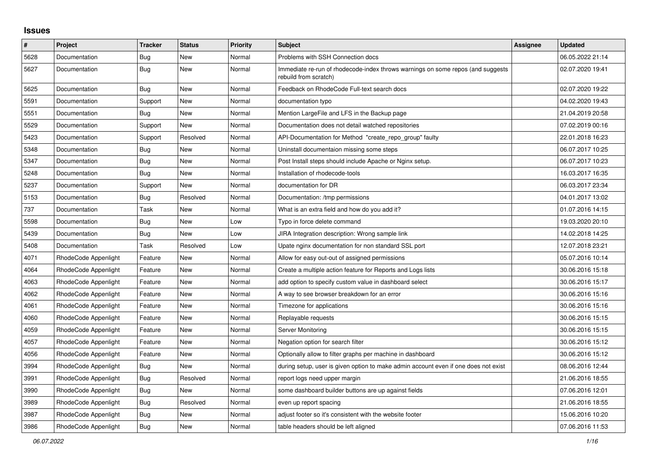## **Issues**

| $\pmb{\#}$ | Project              | <b>Tracker</b> | <b>Status</b> | <b>Priority</b> | <b>Subject</b>                                                                                           | Assignee | <b>Updated</b>   |
|------------|----------------------|----------------|---------------|-----------------|----------------------------------------------------------------------------------------------------------|----------|------------------|
| 5628       | Documentation        | <b>Bug</b>     | <b>New</b>    | Normal          | Problems with SSH Connection docs                                                                        |          | 06.05.2022 21:14 |
| 5627       | Documentation        | Bug            | New           | Normal          | Immediate re-run of rhodecode-index throws warnings on some repos (and suggests<br>rebuild from scratch) |          | 02.07.2020 19:41 |
| 5625       | Documentation        | Bug            | New           | Normal          | Feedback on RhodeCode Full-text search docs                                                              |          | 02.07.2020 19:22 |
| 5591       | Documentation        | Support        | New           | Normal          | documentation typo                                                                                       |          | 04.02.2020 19:43 |
| 5551       | Documentation        | Bug            | New           | Normal          | Mention LargeFile and LFS in the Backup page                                                             |          | 21.04.2019 20:58 |
| 5529       | Documentation        | Support        | <b>New</b>    | Normal          | Documentation does not detail watched repositories                                                       |          | 07.02.2019 00:16 |
| 5423       | Documentation        | Support        | Resolved      | Normal          | API-Documentation for Method "create repo group" faulty                                                  |          | 22.01.2018 16:23 |
| 5348       | Documentation        | Bug            | New           | Normal          | Uninstall documentaion missing some steps                                                                |          | 06.07.2017 10:25 |
| 5347       | Documentation        | Bug            | New           | Normal          | Post Install steps should include Apache or Nginx setup.                                                 |          | 06.07.2017 10:23 |
| 5248       | Documentation        | Bug            | New           | Normal          | Installation of rhodecode-tools                                                                          |          | 16.03.2017 16:35 |
| 5237       | Documentation        | Support        | <b>New</b>    | Normal          | documentation for DR                                                                                     |          | 06.03.2017 23:34 |
| 5153       | Documentation        | Bug            | Resolved      | Normal          | Documentation: /tmp permissions                                                                          |          | 04.01.2017 13:02 |
| 737        | Documentation        | Task           | New           | Normal          | What is an extra field and how do you add it?                                                            |          | 01.07.2016 14:15 |
| 5598       | Documentation        | Bug            | New           | Low             | Typo in force delete command                                                                             |          | 19.03.2020 20:10 |
| 5439       | Documentation        | Bug            | New           | Low             | JIRA Integration description: Wrong sample link                                                          |          | 14.02.2018 14:25 |
| 5408       | Documentation        | Task           | Resolved      | Low             | Upate nginx documentation for non standard SSL port                                                      |          | 12.07.2018 23:21 |
| 4071       | RhodeCode Appenlight | Feature        | New           | Normal          | Allow for easy out-out of assigned permissions                                                           |          | 05.07.2016 10:14 |
| 4064       | RhodeCode Appenlight | Feature        | New           | Normal          | Create a multiple action feature for Reports and Logs lists                                              |          | 30.06.2016 15:18 |
| 4063       | RhodeCode Appenlight | Feature        | New           | Normal          | add option to specify custom value in dashboard select                                                   |          | 30.06.2016 15:17 |
| 4062       | RhodeCode Appenlight | Feature        | New           | Normal          | A way to see browser breakdown for an error                                                              |          | 30.06.2016 15:16 |
| 4061       | RhodeCode Appenlight | Feature        | <b>New</b>    | Normal          | Timezone for applications                                                                                |          | 30.06.2016 15:16 |
| 4060       | RhodeCode Appenlight | Feature        | New           | Normal          | Replayable requests                                                                                      |          | 30.06.2016 15:15 |
| 4059       | RhodeCode Appenlight | Feature        | New           | Normal          | <b>Server Monitoring</b>                                                                                 |          | 30.06.2016 15:15 |
| 4057       | RhodeCode Appenlight | Feature        | New           | Normal          | Negation option for search filter                                                                        |          | 30.06.2016 15:12 |
| 4056       | RhodeCode Appenlight | Feature        | New           | Normal          | Optionally allow to filter graphs per machine in dashboard                                               |          | 30.06.2016 15:12 |
| 3994       | RhodeCode Appenlight | <b>Bug</b>     | <b>New</b>    | Normal          | during setup, user is given option to make admin account even if one does not exist                      |          | 08.06.2016 12:44 |
| 3991       | RhodeCode Appenlight | <b>Bug</b>     | Resolved      | Normal          | report logs need upper margin                                                                            |          | 21.06.2016 18:55 |
| 3990       | RhodeCode Appenlight | Bug            | New           | Normal          | some dashboard builder buttons are up against fields                                                     |          | 07.06.2016 12:01 |
| 3989       | RhodeCode Appenlight | Bug            | Resolved      | Normal          | even up report spacing                                                                                   |          | 21.06.2016 18:55 |
| 3987       | RhodeCode Appenlight | <b>Bug</b>     | New           | Normal          | adjust footer so it's consistent with the website footer                                                 |          | 15.06.2016 10:20 |
| 3986       | RhodeCode Appenlight | <b>Bug</b>     | <b>New</b>    | Normal          | table headers should be left aligned                                                                     |          | 07.06.2016 11:53 |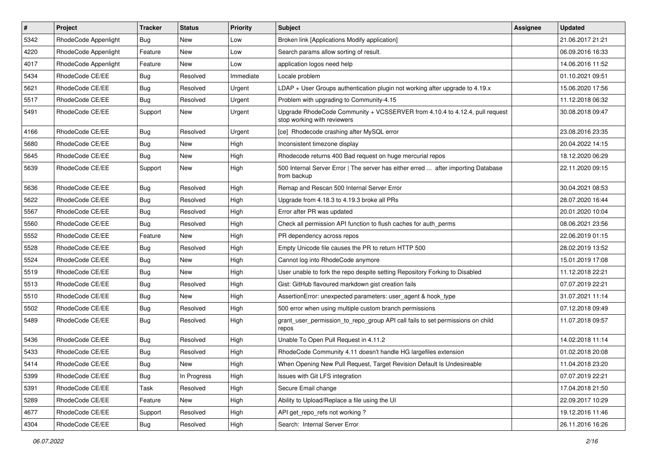| $\pmb{\#}$ | Project              | <b>Tracker</b> | <b>Status</b> | <b>Priority</b> | <b>Subject</b>                                                                                             | Assignee | <b>Updated</b>   |
|------------|----------------------|----------------|---------------|-----------------|------------------------------------------------------------------------------------------------------------|----------|------------------|
| 5342       | RhodeCode Appenlight | Bug            | New           | Low             | Broken link [Applications Modify application]                                                              |          | 21.06.2017 21:21 |
| 4220       | RhodeCode Appenlight | Feature        | <b>New</b>    | Low             | Search params allow sorting of result.                                                                     |          | 06.09.2016 16:33 |
| 4017       | RhodeCode Appenlight | Feature        | <b>New</b>    | Low             | application logos need help                                                                                |          | 14.06.2016 11:52 |
| 5434       | RhodeCode CE/EE      | Bug            | Resolved      | Immediate       | Locale problem                                                                                             |          | 01.10.2021 09:51 |
| 5621       | RhodeCode CE/EE      | Bug            | Resolved      | Urgent          | $LDAP + User Groups authentication playing not working after upgrade to 4.19.x$                            |          | 15.06.2020 17:56 |
| 5517       | RhodeCode CE/EE      | Bug            | Resolved      | Urgent          | Problem with upgrading to Community-4.15                                                                   |          | 11.12.2018 06:32 |
| 5491       | RhodeCode CE/EE      | Support        | <b>New</b>    | Urgent          | Upgrade RhodeCode Community + VCSSERVER from 4.10.4 to 4.12.4, pull request<br>stop working with reviewers |          | 30.08.2018 09:47 |
| 4166       | RhodeCode CE/EE      | Bug            | Resolved      | Urgent          | [ce] Rhodecode crashing after MySQL error                                                                  |          | 23.08.2016 23:35 |
| 5680       | RhodeCode CE/EE      | Bug            | New           | High            | Inconsistent timezone display                                                                              |          | 20.04.2022 14:15 |
| 5645       | RhodeCode CE/EE      | Bug            | New           | High            | Rhodecode returns 400 Bad request on huge mercurial repos                                                  |          | 18.12.2020 06:29 |
| 5639       | RhodeCode CE/EE      | Support        | New           | High            | 500 Internal Server Error   The server has either erred  after importing Database<br>from backup           |          | 22.11.2020 09:15 |
| 5636       | RhodeCode CE/EE      | Bug            | Resolved      | High            | Remap and Rescan 500 Internal Server Error                                                                 |          | 30.04.2021 08:53 |
| 5622       | RhodeCode CE/EE      | Bug            | Resolved      | High            | Upgrade from 4.18.3 to 4.19.3 broke all PRs                                                                |          | 28.07.2020 16:44 |
| 5567       | RhodeCode CE/EE      | Bug            | Resolved      | High            | Error after PR was updated                                                                                 |          | 20.01.2020 10:04 |
| 5560       | RhodeCode CE/EE      | Bug            | Resolved      | High            | Check all permission API function to flush caches for auth perms                                           |          | 08.06.2021 23:56 |
| 5552       | RhodeCode CE/EE      | Feature        | <b>New</b>    | High            | PR dependency across repos                                                                                 |          | 22.06.2019 01:15 |
| 5528       | RhodeCode CE/EE      | Bug            | Resolved      | High            | Empty Unicode file causes the PR to return HTTP 500                                                        |          | 28.02.2019 13:52 |
| 5524       | RhodeCode CE/EE      | Bug            | New           | High            | Cannot log into RhodeCode anymore                                                                          |          | 15.01.2019 17:08 |
| 5519       | RhodeCode CE/EE      | Bug            | <b>New</b>    | High            | User unable to fork the repo despite setting Repository Forking to Disabled                                |          | 11.12.2018 22:21 |
| 5513       | RhodeCode CE/EE      | Bug            | Resolved      | High            | Gist: GitHub flavoured markdown gist creation fails                                                        |          | 07.07.2019 22:21 |
| 5510       | RhodeCode CE/EE      | Bug            | New           | High            | AssertionError: unexpected parameters: user_agent & hook_type                                              |          | 31.07.2021 11:14 |
| 5502       | RhodeCode CE/EE      | Bug            | Resolved      | High            | 500 error when using multiple custom branch permissions                                                    |          | 07.12.2018 09:49 |
| 5489       | RhodeCode CE/EE      | Bug            | Resolved      | High            | grant_user_permission_to_repo_group API call fails to set permissions on child<br>repos                    |          | 11.07.2018 09:57 |
| 5436       | RhodeCode CE/EE      | Bug            | Resolved      | High            | Unable To Open Pull Request in 4.11.2                                                                      |          | 14.02.2018 11:14 |
| 5433       | RhodeCode CE/EE      | Bug            | Resolved      | High            | RhodeCode Community 4.11 doesn't handle HG largefiles extension                                            |          | 01.02.2018 20:08 |
| 5414       | RhodeCode CE/EE      | Bug            | New           | High            | When Opening New Pull Request, Target Revision Default Is Undesireable                                     |          | 11.04.2018 23:20 |
| 5399       | RhodeCode CE/EE      | Bug            | In Progress   | High            | Issues with Git LFS integration                                                                            |          | 07.07.2019 22:21 |
| 5391       | RhodeCode CE/EE      | Task           | Resolved      | High            | Secure Email change                                                                                        |          | 17.04.2018 21:50 |
| 5289       | RhodeCode CE/EE      | Feature        | New           | High            | Ability to Upload/Replace a file using the UI                                                              |          | 22.09.2017 10:29 |
| 4677       | RhodeCode CE/EE      | Support        | Resolved      | High            | API get_repo_refs not working?                                                                             |          | 19.12.2016 11:46 |
| 4304       | RhodeCode CE/EE      | Bug            | Resolved      | High            | Search: Internal Server Error                                                                              |          | 26.11.2016 16:26 |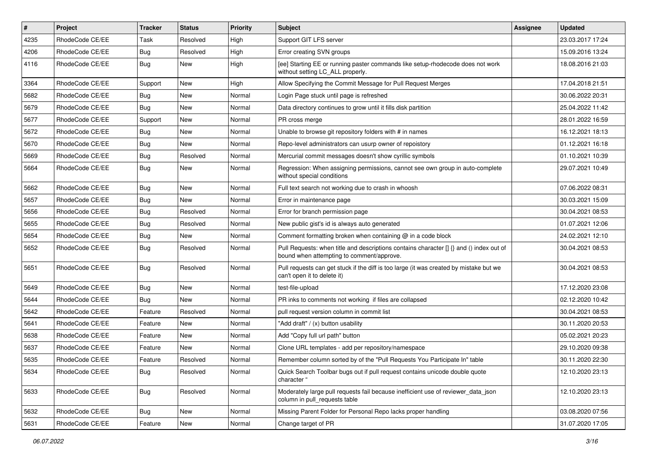| $\sharp$ | <b>Project</b>  | <b>Tracker</b> | <b>Status</b> | <b>Priority</b> | <b>Subject</b>                                                                                                                         | Assignee | <b>Updated</b>   |
|----------|-----------------|----------------|---------------|-----------------|----------------------------------------------------------------------------------------------------------------------------------------|----------|------------------|
| 4235     | RhodeCode CE/EE | Task           | Resolved      | High            | Support GIT LFS server                                                                                                                 |          | 23.03.2017 17:24 |
| 4206     | RhodeCode CE/EE | Bug            | Resolved      | High            | Error creating SVN groups                                                                                                              |          | 15.09.2016 13:24 |
| 4116     | RhodeCode CE/EE | Bug            | New           | High            | [ee] Starting EE or running paster commands like setup-rhodecode does not work<br>without setting LC ALL properly.                     |          | 18.08.2016 21:03 |
| 3364     | RhodeCode CE/EE | Support        | <b>New</b>    | High            | Allow Specifying the Commit Message for Pull Request Merges                                                                            |          | 17.04.2018 21:51 |
| 5682     | RhodeCode CE/EE | <b>Bug</b>     | New           | Normal          | Login Page stuck until page is refreshed                                                                                               |          | 30.06.2022 20:31 |
| 5679     | RhodeCode CE/EE | Bug            | <b>New</b>    | Normal          | Data directory continues to grow until it fills disk partition                                                                         |          | 25.04.2022 11:42 |
| 5677     | RhodeCode CE/EE | Support        | New           | Normal          | PR cross merge                                                                                                                         |          | 28.01.2022 16:59 |
| 5672     | RhodeCode CE/EE | Bug            | <b>New</b>    | Normal          | Unable to browse git repository folders with # in names                                                                                |          | 16.12.2021 18:13 |
| 5670     | RhodeCode CE/EE | Bug            | <b>New</b>    | Normal          | Repo-level administrators can usurp owner of repoistory                                                                                |          | 01.12.2021 16:18 |
| 5669     | RhodeCode CE/EE | Bug            | Resolved      | Normal          | Mercurial commit messages doesn't show cyrillic symbols                                                                                |          | 01.10.2021 10:39 |
| 5664     | RhodeCode CE/EE | Bug            | New           | Normal          | Regression: When assigning permissions, cannot see own group in auto-complete<br>without special conditions                            |          | 29.07.2021 10:49 |
| 5662     | RhodeCode CE/EE | Bug            | <b>New</b>    | Normal          | Full text search not working due to crash in whoosh                                                                                    |          | 07.06.2022 08:31 |
| 5657     | RhodeCode CE/EE | Bug            | <b>New</b>    | Normal          | Error in maintenance page                                                                                                              |          | 30.03.2021 15:09 |
| 5656     | RhodeCode CE/EE | Bug            | Resolved      | Normal          | Error for branch permission page                                                                                                       |          | 30.04.2021 08:53 |
| 5655     | RhodeCode CE/EE | <b>Bug</b>     | Resolved      | Normal          | New public gist's id is always auto generated                                                                                          |          | 01.07.2021 12:06 |
| 5654     | RhodeCode CE/EE | Bug            | <b>New</b>    | Normal          | Comment formatting broken when containing @ in a code block                                                                            |          | 24.02.2021 12:10 |
| 5652     | RhodeCode CE/EE | Bug            | Resolved      | Normal          | Pull Requests: when title and descriptions contains character $\iint$ and () index out of<br>bound when attempting to comment/approve. |          | 30.04.2021 08:53 |
| 5651     | RhodeCode CE/EE | Bug            | Resolved      | Normal          | Pull requests can get stuck if the diff is too large (it was created by mistake but we<br>can't open it to delete it)                  |          | 30.04.2021 08:53 |
| 5649     | RhodeCode CE/EE | Bug            | <b>New</b>    | Normal          | test-file-upload                                                                                                                       |          | 17.12.2020 23:08 |
| 5644     | RhodeCode CE/EE | Bug            | <b>New</b>    | Normal          | PR inks to comments not working if files are collapsed                                                                                 |          | 02.12.2020 10:42 |
| 5642     | RhodeCode CE/EE | Feature        | Resolved      | Normal          | pull request version column in commit list                                                                                             |          | 30.04.2021 08:53 |
| 5641     | RhodeCode CE/EE | Feature        | <b>New</b>    | Normal          | "Add draft" / (x) button usability                                                                                                     |          | 30.11.2020 20:53 |
| 5638     | RhodeCode CE/EE | Feature        | <b>New</b>    | Normal          | Add "Copy full url path" button                                                                                                        |          | 05.02.2021 20:23 |
| 5637     | RhodeCode CE/EE | Feature        | New           | Normal          | Clone URL templates - add per repository/namespace                                                                                     |          | 29.10.2020 09:38 |
| 5635     | RhodeCode CE/EE | Feature        | Resolved      | Normal          | Remember column sorted by of the "Pull Requests You Participate In" table                                                              |          | 30.11.2020 22:30 |
| 5634     | RhodeCode CE/EE | <b>Bug</b>     | Resolved      | Normal          | Quick Search Toolbar bugs out if pull request contains unicode double quote<br>character "                                             |          | 12.10.2020 23:13 |
| 5633     | RhodeCode CE/EE | Bug            | Resolved      | Normal          | Moderately large pull requests fail because inefficient use of reviewer_data_json<br>column in pull_requests table                     |          | 12.10.2020 23:13 |
| 5632     | RhodeCode CE/EE | <b>Bug</b>     | <b>New</b>    | Normal          | Missing Parent Folder for Personal Repo lacks proper handling                                                                          |          | 03.08.2020 07:56 |
| 5631     | RhodeCode CE/EE | Feature        | New           | Normal          | Change target of PR                                                                                                                    |          | 31.07.2020 17:05 |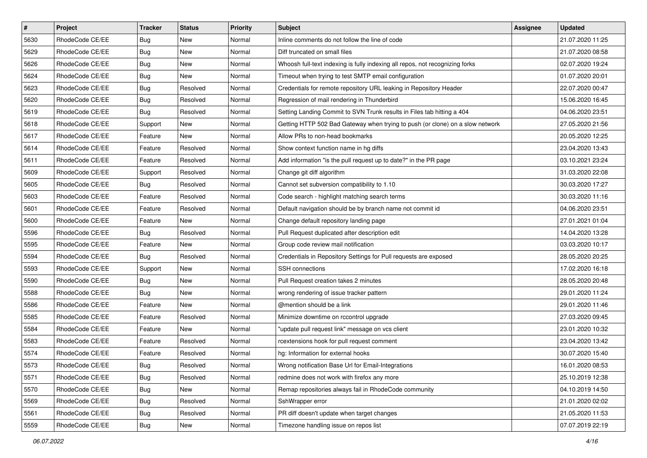| $\sharp$ | Project         | Tracker    | <b>Status</b> | <b>Priority</b> | <b>Subject</b>                                                                | Assignee | <b>Updated</b>   |
|----------|-----------------|------------|---------------|-----------------|-------------------------------------------------------------------------------|----------|------------------|
| 5630     | RhodeCode CE/EE | <b>Bug</b> | New           | Normal          | Inline comments do not follow the line of code                                |          | 21.07.2020 11:25 |
| 5629     | RhodeCode CE/EE | Bug        | New           | Normal          | Diff truncated on small files                                                 |          | 21.07.2020 08:58 |
| 5626     | RhodeCode CE/EE | Bug        | New           | Normal          | Whoosh full-text indexing is fully indexing all repos, not recognizing forks  |          | 02.07.2020 19:24 |
| 5624     | RhodeCode CE/EE | <b>Bug</b> | New           | Normal          | Timeout when trying to test SMTP email configuration                          |          | 01.07.2020 20:01 |
| 5623     | RhodeCode CE/EE | Bug        | Resolved      | Normal          | Credentials for remote repository URL leaking in Repository Header            |          | 22.07.2020 00:47 |
| 5620     | RhodeCode CE/EE | <b>Bug</b> | Resolved      | Normal          | Regression of mail rendering in Thunderbird                                   |          | 15.06.2020 16:45 |
| 5619     | RhodeCode CE/EE | <b>Bug</b> | Resolved      | Normal          | Setting Landing Commit to SVN Trunk results in Files tab hitting a 404        |          | 04.06.2020 23:51 |
| 5618     | RhodeCode CE/EE | Support    | New           | Normal          | Getting HTTP 502 Bad Gateway when trying to push (or clone) on a slow network |          | 27.05.2020 21:56 |
| 5617     | RhodeCode CE/EE | Feature    | New           | Normal          | Allow PRs to non-head bookmarks                                               |          | 20.05.2020 12:25 |
| 5614     | RhodeCode CE/EE | Feature    | Resolved      | Normal          | Show context function name in hg diffs                                        |          | 23.04.2020 13:43 |
| 5611     | RhodeCode CE/EE | Feature    | Resolved      | Normal          | Add information "is the pull request up to date?" in the PR page              |          | 03.10.2021 23:24 |
| 5609     | RhodeCode CE/EE | Support    | Resolved      | Normal          | Change git diff algorithm                                                     |          | 31.03.2020 22:08 |
| 5605     | RhodeCode CE/EE | Bug        | Resolved      | Normal          | Cannot set subversion compatibility to 1.10                                   |          | 30.03.2020 17:27 |
| 5603     | RhodeCode CE/EE | Feature    | Resolved      | Normal          | Code search - highlight matching search terms                                 |          | 30.03.2020 11:16 |
| 5601     | RhodeCode CE/EE | Feature    | Resolved      | Normal          | Default navigation should be by branch name not commit id                     |          | 04.06.2020 23:51 |
| 5600     | RhodeCode CE/EE | Feature    | New           | Normal          | Change default repository landing page                                        |          | 27.01.2021 01:04 |
| 5596     | RhodeCode CE/EE | <b>Bug</b> | Resolved      | Normal          | Pull Request duplicated after description edit                                |          | 14.04.2020 13:28 |
| 5595     | RhodeCode CE/EE | Feature    | New           | Normal          | Group code review mail notification                                           |          | 03.03.2020 10:17 |
| 5594     | RhodeCode CE/EE | Bug        | Resolved      | Normal          | Credentials in Repository Settings for Pull requests are exposed              |          | 28.05.2020 20:25 |
| 5593     | RhodeCode CE/EE | Support    | New           | Normal          | <b>SSH</b> connections                                                        |          | 17.02.2020 16:18 |
| 5590     | RhodeCode CE/EE | <b>Bug</b> | New           | Normal          | Pull Request creation takes 2 minutes                                         |          | 28.05.2020 20:48 |
| 5588     | RhodeCode CE/EE | <b>Bug</b> | New           | Normal          | wrong rendering of issue tracker pattern                                      |          | 29.01.2020 11:24 |
| 5586     | RhodeCode CE/EE | Feature    | New           | Normal          | @mention should be a link                                                     |          | 29.01.2020 11:46 |
| 5585     | RhodeCode CE/EE | Feature    | Resolved      | Normal          | Minimize downtime on rccontrol upgrade                                        |          | 27.03.2020 09:45 |
| 5584     | RhodeCode CE/EE | Feature    | New           | Normal          | "update pull request link" message on vcs client                              |          | 23.01.2020 10:32 |
| 5583     | RhodeCode CE/EE | Feature    | Resolved      | Normal          | rcextensions hook for pull request comment                                    |          | 23.04.2020 13:42 |
| 5574     | RhodeCode CE/EE | Feature    | Resolved      | Normal          | hg: Information for external hooks                                            |          | 30.07.2020 15:40 |
| 5573     | RhodeCode CE/EE | Bug        | Resolved      | Normal          | Wrong notification Base Url for Email-Integrations                            |          | 16.01.2020 08:53 |
| 5571     | RhodeCode CE/EE | <b>Bug</b> | Resolved      | Normal          | redmine does not work with firefox any more                                   |          | 25.10.2019 12:38 |
| 5570     | RhodeCode CE/EE | <b>Bug</b> | New           | Normal          | Remap repositories always fail in RhodeCode community                         |          | 04.10.2019 14:50 |
| 5569     | RhodeCode CE/EE | Bug        | Resolved      | Normal          | SshWrapper error                                                              |          | 21.01.2020 02:02 |
| 5561     | RhodeCode CE/EE | <b>Bug</b> | Resolved      | Normal          | PR diff doesn't update when target changes                                    |          | 21.05.2020 11:53 |
| 5559     | RhodeCode CE/EE | <b>Bug</b> | New           | Normal          | Timezone handling issue on repos list                                         |          | 07.07.2019 22:19 |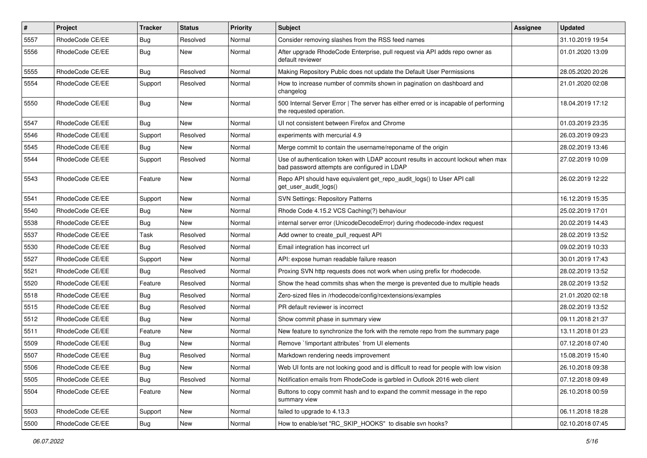| #    | Project         | <b>Tracker</b> | <b>Status</b> | <b>Priority</b> | Subject                                                                                                                           | Assignee | <b>Updated</b>   |
|------|-----------------|----------------|---------------|-----------------|-----------------------------------------------------------------------------------------------------------------------------------|----------|------------------|
| 5557 | RhodeCode CE/EE | Bug            | Resolved      | Normal          | Consider removing slashes from the RSS feed names                                                                                 |          | 31.10.2019 19:54 |
| 5556 | RhodeCode CE/EE | Bug            | New           | Normal          | After upgrade RhodeCode Enterprise, pull request via API adds repo owner as<br>default reviewer                                   |          | 01.01.2020 13:09 |
| 5555 | RhodeCode CE/EE | <b>Bug</b>     | Resolved      | Normal          | Making Repository Public does not update the Default User Permissions                                                             |          | 28.05.2020 20:26 |
| 5554 | RhodeCode CE/EE | Support        | Resolved      | Normal          | How to increase number of commits shown in pagination on dashboard and<br>changelog                                               |          | 21.01.2020 02:08 |
| 5550 | RhodeCode CE/EE | <b>Bug</b>     | New           | Normal          | 500 Internal Server Error   The server has either erred or is incapable of performing<br>the requested operation.                 |          | 18.04.2019 17:12 |
| 5547 | RhodeCode CE/EE | Bug            | New           | Normal          | UI not consistent between Firefox and Chrome                                                                                      |          | 01.03.2019 23:35 |
| 5546 | RhodeCode CE/EE | Support        | Resolved      | Normal          | experiments with mercurial 4.9                                                                                                    |          | 26.03.2019 09:23 |
| 5545 | RhodeCode CE/EE | Bug            | New           | Normal          | Merge commit to contain the username/reponame of the origin                                                                       |          | 28.02.2019 13:46 |
| 5544 | RhodeCode CE/EE | Support        | Resolved      | Normal          | Use of authentication token with LDAP account results in account lockout when max<br>bad password attempts are configured in LDAP |          | 27.02.2019 10:09 |
| 5543 | RhodeCode CE/EE | Feature        | New           | Normal          | Repo API should have equivalent get_repo_audit_logs() to User API call<br>get_user_audit_logs()                                   |          | 26.02.2019 12:22 |
| 5541 | RhodeCode CE/EE | Support        | New           | Normal          | <b>SVN Settings: Repository Patterns</b>                                                                                          |          | 16.12.2019 15:35 |
| 5540 | RhodeCode CE/EE | Bug            | New           | Normal          | Rhode Code 4.15.2 VCS Caching(?) behaviour                                                                                        |          | 25.02.2019 17:01 |
| 5538 | RhodeCode CE/EE | <b>Bug</b>     | New           | Normal          | internal server error (UnicodeDecodeError) during rhodecode-index request                                                         |          | 20.02.2019 14:43 |
| 5537 | RhodeCode CE/EE | Task           | Resolved      | Normal          | Add owner to create pull request API                                                                                              |          | 28.02.2019 13:52 |
| 5530 | RhodeCode CE/EE | Bug            | Resolved      | Normal          | Email integration has incorrect url                                                                                               |          | 09.02.2019 10:33 |
| 5527 | RhodeCode CE/EE | Support        | New           | Normal          | API: expose human readable failure reason                                                                                         |          | 30.01.2019 17:43 |
| 5521 | RhodeCode CE/EE | Bug            | Resolved      | Normal          | Proxing SVN http requests does not work when using prefix for rhodecode.                                                          |          | 28.02.2019 13:52 |
| 5520 | RhodeCode CE/EE | Feature        | Resolved      | Normal          | Show the head commits shas when the merge is prevented due to multiple heads                                                      |          | 28.02.2019 13:52 |
| 5518 | RhodeCode CE/EE | Bug            | Resolved      | Normal          | Zero-sized files in /rhodecode/config/rcextensions/examples                                                                       |          | 21.01.2020 02:18 |
| 5515 | RhodeCode CE/EE | Bug            | Resolved      | Normal          | PR default reviewer is incorrect                                                                                                  |          | 28.02.2019 13:52 |
| 5512 | RhodeCode CE/EE | <b>Bug</b>     | New           | Normal          | Show commit phase in summary view                                                                                                 |          | 09.11.2018 21:37 |
| 5511 | RhodeCode CE/EE | Feature        | New           | Normal          | New feature to synchronize the fork with the remote repo from the summary page                                                    |          | 13.11.2018 01:23 |
| 5509 | RhodeCode CE/EE | Bug            | New           | Normal          | Remove `!important attributes` from UI elements                                                                                   |          | 07.12.2018 07:40 |
| 5507 | RhodeCode CE/EE | Bug            | Resolved      | Normal          | Markdown rendering needs improvement                                                                                              |          | 15.08.2019 15:40 |
| 5506 | RhodeCode CE/EE | Bug            | New           | Normal          | Web UI fonts are not looking good and is difficult to read for people with low vision                                             |          | 26.10.2018 09:38 |
| 5505 | RhodeCode CE/EE | Bug            | Resolved      | Normal          | Notification emails from RhodeCode is garbled in Outlook 2016 web client                                                          |          | 07.12.2018 09:49 |
| 5504 | RhodeCode CE/EE | Feature        | New           | Normal          | Buttons to copy commit hash and to expand the commit message in the repo<br>summary view                                          |          | 26.10.2018 00:59 |
| 5503 | RhodeCode CE/EE | Support        | New           | Normal          | failed to upgrade to 4.13.3                                                                                                       |          | 06.11.2018 18:28 |
| 5500 | RhodeCode CE/EE | Bug            | New           | Normal          | How to enable/set "RC_SKIP_HOOKS" to disable svn hooks?                                                                           |          | 02.10.2018 07:45 |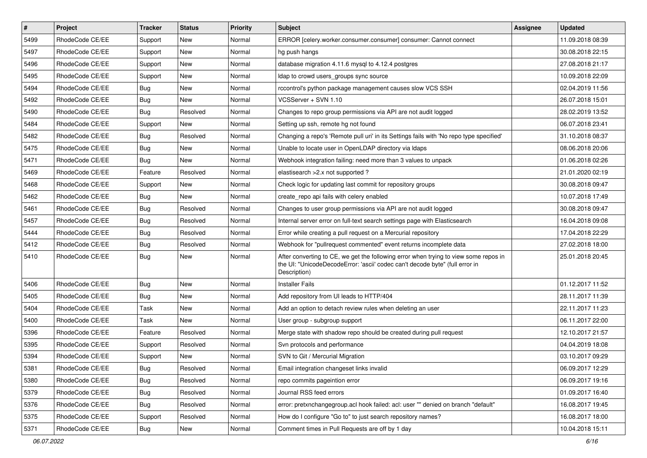| $\sharp$ | Project         | <b>Tracker</b> | <b>Status</b> | Priority | <b>Subject</b>                                                                                                                                                                       | <b>Assignee</b> | <b>Updated</b>   |
|----------|-----------------|----------------|---------------|----------|--------------------------------------------------------------------------------------------------------------------------------------------------------------------------------------|-----------------|------------------|
| 5499     | RhodeCode CE/EE | Support        | New           | Normal   | ERROR [celery.worker.consumer.consumer] consumer: Cannot connect                                                                                                                     |                 | 11.09.2018 08:39 |
| 5497     | RhodeCode CE/EE | Support        | New           | Normal   | hg push hangs                                                                                                                                                                        |                 | 30.08.2018 22:15 |
| 5496     | RhodeCode CE/EE | Support        | New           | Normal   | database migration 4.11.6 mysql to 4.12.4 postgres                                                                                                                                   |                 | 27.08.2018 21:17 |
| 5495     | RhodeCode CE/EE | Support        | <b>New</b>    | Normal   | Idap to crowd users_groups sync source                                                                                                                                               |                 | 10.09.2018 22:09 |
| 5494     | RhodeCode CE/EE | Bug            | <b>New</b>    | Normal   | rccontrol's python package management causes slow VCS SSH                                                                                                                            |                 | 02.04.2019 11:56 |
| 5492     | RhodeCode CE/EE | Bug            | <b>New</b>    | Normal   | VCSServer + SVN 1.10                                                                                                                                                                 |                 | 26.07.2018 15:01 |
| 5490     | RhodeCode CE/EE | Bug            | Resolved      | Normal   | Changes to repo group permissions via API are not audit logged                                                                                                                       |                 | 28.02.2019 13:52 |
| 5484     | RhodeCode CE/EE | Support        | <b>New</b>    | Normal   | Setting up ssh, remote hg not found                                                                                                                                                  |                 | 06.07.2018 23:41 |
| 5482     | RhodeCode CE/EE | <b>Bug</b>     | Resolved      | Normal   | Changing a repo's 'Remote pull uri' in its Settings fails with 'No repo type specified'                                                                                              |                 | 31.10.2018 08:37 |
| 5475     | RhodeCode CE/EE | Bug            | <b>New</b>    | Normal   | Unable to locate user in OpenLDAP directory via Idaps                                                                                                                                |                 | 08.06.2018 20:06 |
| 5471     | RhodeCode CE/EE | Bug            | <b>New</b>    | Normal   | Webhook integration failing: need more than 3 values to unpack                                                                                                                       |                 | 01.06.2018 02:26 |
| 5469     | RhodeCode CE/EE | Feature        | Resolved      | Normal   | elastisearch > 2.x not supported?                                                                                                                                                    |                 | 21.01.2020 02:19 |
| 5468     | RhodeCode CE/EE | Support        | <b>New</b>    | Normal   | Check logic for updating last commit for repository groups                                                                                                                           |                 | 30.08.2018 09:47 |
| 5462     | RhodeCode CE/EE | Bug            | <b>New</b>    | Normal   | create repo api fails with celery enabled                                                                                                                                            |                 | 10.07.2018 17:49 |
| 5461     | RhodeCode CE/EE | Bug            | Resolved      | Normal   | Changes to user group permissions via API are not audit logged                                                                                                                       |                 | 30.08.2018 09:47 |
| 5457     | RhodeCode CE/EE | Bug            | Resolved      | Normal   | Internal server error on full-text search settings page with Elasticsearch                                                                                                           |                 | 16.04.2018 09:08 |
| 5444     | RhodeCode CE/EE | Bug            | Resolved      | Normal   | Error while creating a pull request on a Mercurial repository                                                                                                                        |                 | 17.04.2018 22:29 |
| 5412     | RhodeCode CE/EE | Bug            | Resolved      | Normal   | Webhook for "pullrequest commented" event returns incomplete data                                                                                                                    |                 | 27.02.2018 18:00 |
| 5410     | RhodeCode CE/EE | Bug            | New           | Normal   | After converting to CE, we get the following error when trying to view some repos in<br>the UI: "UnicodeDecodeError: 'ascii' codec can't decode byte" (full error in<br>Description) |                 | 25.01.2018 20:45 |
| 5406     | RhodeCode CE/EE | <b>Bug</b>     | <b>New</b>    | Normal   | <b>Installer Fails</b>                                                                                                                                                               |                 | 01.12.2017 11:52 |
| 5405     | RhodeCode CE/EE | Bug            | <b>New</b>    | Normal   | Add repository from UI leads to HTTP/404                                                                                                                                             |                 | 28.11.2017 11:39 |
| 5404     | RhodeCode CE/EE | Task           | New           | Normal   | Add an option to detach review rules when deleting an user                                                                                                                           |                 | 22.11.2017 11:23 |
| 5400     | RhodeCode CE/EE | Task           | <b>New</b>    | Normal   | User group - subgroup support                                                                                                                                                        |                 | 06.11.2017 22:00 |
| 5396     | RhodeCode CE/EE | Feature        | Resolved      | Normal   | Merge state with shadow repo should be created during pull request                                                                                                                   |                 | 12.10.2017 21:57 |
| 5395     | RhodeCode CE/EE | Support        | Resolved      | Normal   | Svn protocols and performance                                                                                                                                                        |                 | 04.04.2019 18:08 |
| 5394     | RhodeCode CE/EE | Support        | <b>New</b>    | Normal   | SVN to Git / Mercurial Migration                                                                                                                                                     |                 | 03.10.2017 09:29 |
| 5381     | RhodeCode CE/EE | Bug            | Resolved      | Normal   | Email integration changeset links invalid                                                                                                                                            |                 | 06.09.2017 12:29 |
| 5380     | RhodeCode CE/EE | <b>Bug</b>     | Resolved      | Normal   | repo commits pageintion error                                                                                                                                                        |                 | 06.09.2017 19:16 |
| 5379     | RhodeCode CE/EE | Bug            | Resolved      | Normal   | Journal RSS feed errors                                                                                                                                                              |                 | 01.09.2017 16:40 |
| 5376     | RhodeCode CE/EE | <b>Bug</b>     | Resolved      | Normal   | error: pretxnchangegroup.acl hook failed: acl: user "" denied on branch "default"                                                                                                    |                 | 16.08.2017 19:45 |
| 5375     | RhodeCode CE/EE | Support        | Resolved      | Normal   | How do I configure "Go to" to just search repository names?                                                                                                                          |                 | 16.08.2017 18:00 |
| 5371     | RhodeCode CE/EE | Bug            | New           | Normal   | Comment times in Pull Requests are off by 1 day                                                                                                                                      |                 | 10.04.2018 15:11 |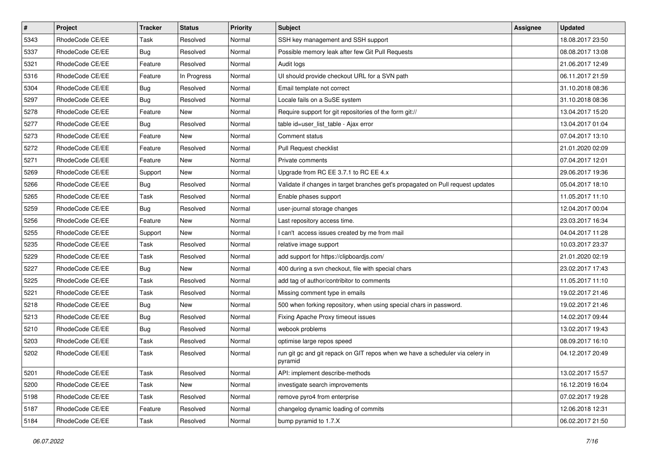| $\pmb{\#}$ | Project         | <b>Tracker</b> | <b>Status</b> | <b>Priority</b> | Subject                                                                                  | Assignee | <b>Updated</b>   |
|------------|-----------------|----------------|---------------|-----------------|------------------------------------------------------------------------------------------|----------|------------------|
| 5343       | RhodeCode CE/EE | Task           | Resolved      | Normal          | SSH key management and SSH support                                                       |          | 18.08.2017 23:50 |
| 5337       | RhodeCode CE/EE | <b>Bug</b>     | Resolved      | Normal          | Possible memory leak after few Git Pull Requests                                         |          | 08.08.2017 13:08 |
| 5321       | RhodeCode CE/EE | Feature        | Resolved      | Normal          | Audit logs                                                                               |          | 21.06.2017 12:49 |
| 5316       | RhodeCode CE/EE | Feature        | In Progress   | Normal          | UI should provide checkout URL for a SVN path                                            |          | 06.11.2017 21:59 |
| 5304       | RhodeCode CE/EE | <b>Bug</b>     | Resolved      | Normal          | Email template not correct                                                               |          | 31.10.2018 08:36 |
| 5297       | RhodeCode CE/EE | Bug            | Resolved      | Normal          | Locale fails on a SuSE system                                                            |          | 31.10.2018 08:36 |
| 5278       | RhodeCode CE/EE | Feature        | <b>New</b>    | Normal          | Require support for git repositories of the form git://                                  |          | 13.04.2017 15:20 |
| 5277       | RhodeCode CE/EE | <b>Bug</b>     | Resolved      | Normal          | table id=user list table - Ajax error                                                    |          | 13.04.2017 01:04 |
| 5273       | RhodeCode CE/EE | Feature        | New           | Normal          | Comment status                                                                           |          | 07.04.2017 13:10 |
| 5272       | RhodeCode CE/EE | Feature        | Resolved      | Normal          | Pull Request checklist                                                                   |          | 21.01.2020 02:09 |
| 5271       | RhodeCode CE/EE | Feature        | New           | Normal          | Private comments                                                                         |          | 07.04.2017 12:01 |
| 5269       | RhodeCode CE/EE | Support        | New           | Normal          | Upgrade from RC EE 3.7.1 to RC EE 4.x                                                    |          | 29.06.2017 19:36 |
| 5266       | RhodeCode CE/EE | <b>Bug</b>     | Resolved      | Normal          | Validate if changes in target branches get's propagated on Pull request updates          |          | 05.04.2017 18:10 |
| 5265       | RhodeCode CE/EE | Task           | Resolved      | Normal          | Enable phases support                                                                    |          | 11.05.2017 11:10 |
| 5259       | RhodeCode CE/EE | Bug            | Resolved      | Normal          | user-journal storage changes                                                             |          | 12.04.2017 00:04 |
| 5256       | RhodeCode CE/EE | Feature        | New           | Normal          | Last repository access time.                                                             |          | 23.03.2017 16:34 |
| 5255       | RhodeCode CE/EE | Support        | New           | Normal          | I can't access issues created by me from mail                                            |          | 04.04.2017 11:28 |
| 5235       | RhodeCode CE/EE | Task           | Resolved      | Normal          | relative image support                                                                   |          | 10.03.2017 23:37 |
| 5229       | RhodeCode CE/EE | Task           | Resolved      | Normal          | add support for https://clipboardjs.com/                                                 |          | 21.01.2020 02:19 |
| 5227       | RhodeCode CE/EE | <b>Bug</b>     | <b>New</b>    | Normal          | 400 during a svn checkout, file with special chars                                       |          | 23.02.2017 17:43 |
| 5225       | RhodeCode CE/EE | Task           | Resolved      | Normal          | add tag of author/contribitor to comments                                                |          | 11.05.2017 11:10 |
| 5221       | RhodeCode CE/EE | Task           | Resolved      | Normal          | Missing comment type in emails                                                           |          | 19.02.2017 21:46 |
| 5218       | RhodeCode CE/EE | Bug            | New           | Normal          | 500 when forking repository, when using special chars in password.                       |          | 19.02.2017 21:46 |
| 5213       | RhodeCode CE/EE | Bug            | Resolved      | Normal          | Fixing Apache Proxy timeout issues                                                       |          | 14.02.2017 09:44 |
| 5210       | RhodeCode CE/EE | <b>Bug</b>     | Resolved      | Normal          | webook problems                                                                          |          | 13.02.2017 19:43 |
| 5203       | RhodeCode CE/EE | Task           | Resolved      | Normal          | optimise large repos speed                                                               |          | 08.09.2017 16:10 |
| 5202       | RhodeCode CE/EE | Task           | Resolved      | Normal          | run git gc and git repack on GIT repos when we have a scheduler via celery in<br>pyramid |          | 04.12.2017 20:49 |
| 5201       | RhodeCode CE/EE | Task           | Resolved      | Normal          | API: implement describe-methods                                                          |          | 13.02.2017 15:57 |
| 5200       | RhodeCode CE/EE | Task           | New           | Normal          | investigate search improvements                                                          |          | 16.12.2019 16:04 |
| 5198       | RhodeCode CE/EE | Task           | Resolved      | Normal          | remove pyro4 from enterprise                                                             |          | 07.02.2017 19:28 |
| 5187       | RhodeCode CE/EE | Feature        | Resolved      | Normal          | changelog dynamic loading of commits                                                     |          | 12.06.2018 12:31 |
| 5184       | RhodeCode CE/EE | Task           | Resolved      | Normal          | bump pyramid to 1.7.X                                                                    |          | 06.02.2017 21:50 |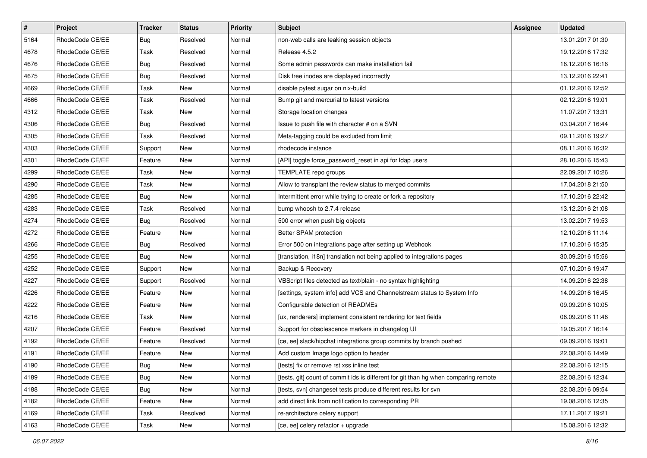| $\sharp$ | Project         | <b>Tracker</b> | <b>Status</b> | Priority | <b>Subject</b>                                                                      | <b>Assignee</b> | <b>Updated</b>   |
|----------|-----------------|----------------|---------------|----------|-------------------------------------------------------------------------------------|-----------------|------------------|
| 5164     | RhodeCode CE/EE | Bug            | Resolved      | Normal   | non-web calls are leaking session objects                                           |                 | 13.01.2017 01:30 |
| 4678     | RhodeCode CE/EE | Task           | Resolved      | Normal   | Release 4.5.2                                                                       |                 | 19.12.2016 17:32 |
| 4676     | RhodeCode CE/EE | Bug            | Resolved      | Normal   | Some admin passwords can make installation fail                                     |                 | 16.12.2016 16:16 |
| 4675     | RhodeCode CE/EE | <b>Bug</b>     | Resolved      | Normal   | Disk free inodes are displayed incorrectly                                          |                 | 13.12.2016 22:41 |
| 4669     | RhodeCode CE/EE | Task           | <b>New</b>    | Normal   | disable pytest sugar on nix-build                                                   |                 | 01.12.2016 12:52 |
| 4666     | RhodeCode CE/EE | Task           | Resolved      | Normal   | Bump git and mercurial to latest versions                                           |                 | 02.12.2016 19:01 |
| 4312     | RhodeCode CE/EE | Task           | New           | Normal   | Storage location changes                                                            |                 | 11.07.2017 13:31 |
| 4306     | RhodeCode CE/EE | Bug            | Resolved      | Normal   | Issue to push file with character # on a SVN                                        |                 | 03.04.2017 16:44 |
| 4305     | RhodeCode CE/EE | Task           | Resolved      | Normal   | Meta-tagging could be excluded from limit                                           |                 | 09.11.2016 19:27 |
| 4303     | RhodeCode CE/EE | Support        | New           | Normal   | rhodecode instance                                                                  |                 | 08.11.2016 16:32 |
| 4301     | RhodeCode CE/EE | Feature        | New           | Normal   | [API] toggle force_password_reset in api for Idap users                             |                 | 28.10.2016 15:43 |
| 4299     | RhodeCode CE/EE | Task           | New           | Normal   | TEMPLATE repo groups                                                                |                 | 22.09.2017 10:26 |
| 4290     | RhodeCode CE/EE | Task           | New           | Normal   | Allow to transplant the review status to merged commits                             |                 | 17.04.2018 21:50 |
| 4285     | RhodeCode CE/EE | Bug            | New           | Normal   | Intermittent error while trying to create or fork a repository                      |                 | 17.10.2016 22:42 |
| 4283     | RhodeCode CE/EE | Task           | Resolved      | Normal   | bump whoosh to 2.7.4 release                                                        |                 | 13.12.2016 21:08 |
| 4274     | RhodeCode CE/EE | Bug            | Resolved      | Normal   | 500 error when push big objects                                                     |                 | 13.02.2017 19:53 |
| 4272     | RhodeCode CE/EE | Feature        | New           | Normal   | Better SPAM protection                                                              |                 | 12.10.2016 11:14 |
| 4266     | RhodeCode CE/EE | Bug            | Resolved      | Normal   | Error 500 on integrations page after setting up Webhook                             |                 | 17.10.2016 15:35 |
| 4255     | RhodeCode CE/EE | Bug            | New           | Normal   | [translation, i18n] translation not being applied to integrations pages             |                 | 30.09.2016 15:56 |
| 4252     | RhodeCode CE/EE | Support        | New           | Normal   | Backup & Recovery                                                                   |                 | 07.10.2016 19:47 |
| 4227     | RhodeCode CE/EE | Support        | Resolved      | Normal   | VBScript files detected as text/plain - no syntax highlighting                      |                 | 14.09.2016 22:38 |
| 4226     | RhodeCode CE/EE | Feature        | New           | Normal   | [settings, system info] add VCS and Channelstream status to System Info             |                 | 14.09.2016 16:45 |
| 4222     | RhodeCode CE/EE | Feature        | <b>New</b>    | Normal   | Configurable detection of READMEs                                                   |                 | 09.09.2016 10:05 |
| 4216     | RhodeCode CE/EE | Task           | <b>New</b>    | Normal   | [ux, renderers] implement consistent rendering for text fields                      |                 | 06.09.2016 11:46 |
| 4207     | RhodeCode CE/EE | Feature        | Resolved      | Normal   | Support for obsolescence markers in changelog UI                                    |                 | 19.05.2017 16:14 |
| 4192     | RhodeCode CE/EE | Feature        | Resolved      | Normal   | [ce, ee] slack/hipchat integrations group commits by branch pushed                  |                 | 09.09.2016 19:01 |
| 4191     | RhodeCode CE/EE | Feature        | New           | Normal   | Add custom Image logo option to header                                              |                 | 22.08.2016 14:49 |
| 4190     | RhodeCode CE/EE | <b>Bug</b>     | New           | Normal   | [tests] fix or remove rst xss inline test                                           |                 | 22.08.2016 12:15 |
| 4189     | RhodeCode CE/EE | Bug            | New           | Normal   | [tests, git] count of commit ids is different for git than hg when comparing remote |                 | 22.08.2016 12:34 |
| 4188     | RhodeCode CE/EE | <b>Bug</b>     | New           | Normal   | [tests, svn] changeset tests produce different results for svn                      |                 | 22.08.2016 09:54 |
| 4182     | RhodeCode CE/EE | Feature        | New           | Normal   | add direct link from notification to corresponding PR                               |                 | 19.08.2016 12:35 |
| 4169     | RhodeCode CE/EE | Task           | Resolved      | Normal   | re-architecture celery support                                                      |                 | 17.11.2017 19:21 |
| 4163     | RhodeCode CE/EE | Task           | New           | Normal   | [ce, ee] celery refactor + upgrade                                                  |                 | 15.08.2016 12:32 |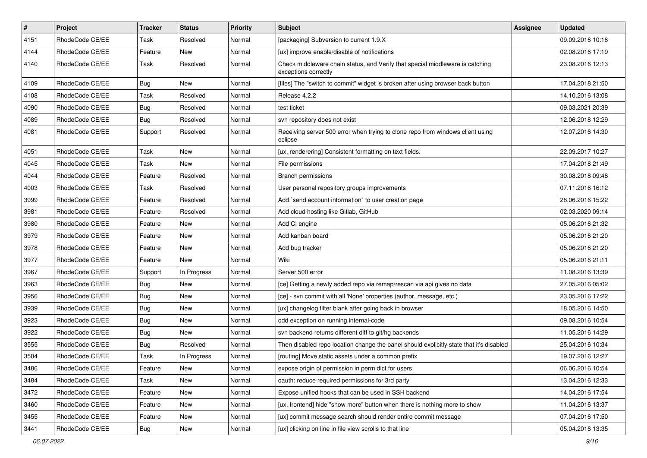| $\vert$ # | Project         | <b>Tracker</b> | <b>Status</b> | Priority | <b>Subject</b>                                                                                        | <b>Assignee</b> | <b>Updated</b>   |
|-----------|-----------------|----------------|---------------|----------|-------------------------------------------------------------------------------------------------------|-----------------|------------------|
| 4151      | RhodeCode CE/EE | Task           | Resolved      | Normal   | [packaging] Subversion to current 1.9.X                                                               |                 | 09.09.2016 10:18 |
| 4144      | RhodeCode CE/EE | Feature        | New           | Normal   | [ux] improve enable/disable of notifications                                                          |                 | 02.08.2016 17:19 |
| 4140      | RhodeCode CE/EE | Task           | Resolved      | Normal   | Check middleware chain status, and Verify that special middleware is catching<br>exceptions correctly |                 | 23.08.2016 12:13 |
| 4109      | RhodeCode CE/EE | <b>Bug</b>     | New           | Normal   | [files] The "switch to commit" widget is broken after using browser back button                       |                 | 17.04.2018 21:50 |
| 4108      | RhodeCode CE/EE | Task           | Resolved      | Normal   | Release 4.2.2                                                                                         |                 | 14.10.2016 13:08 |
| 4090      | RhodeCode CE/EE | <b>Bug</b>     | Resolved      | Normal   | test ticket                                                                                           |                 | 09.03.2021 20:39 |
| 4089      | RhodeCode CE/EE | <b>Bug</b>     | Resolved      | Normal   | svn repository does not exist                                                                         |                 | 12.06.2018 12:29 |
| 4081      | RhodeCode CE/EE | Support        | Resolved      | Normal   | Receiving server 500 error when trying to clone repo from windows client using<br>eclipse             |                 | 12.07.2016 14:30 |
| 4051      | RhodeCode CE/EE | Task           | New           | Normal   | [ux, renderering] Consistent formatting on text fields.                                               |                 | 22.09.2017 10:27 |
| 4045      | RhodeCode CE/EE | Task           | New           | Normal   | File permissions                                                                                      |                 | 17.04.2018 21:49 |
| 4044      | RhodeCode CE/EE | Feature        | Resolved      | Normal   | <b>Branch permissions</b>                                                                             |                 | 30.08.2018 09:48 |
| 4003      | RhodeCode CE/EE | Task           | Resolved      | Normal   | User personal repository groups improvements                                                          |                 | 07.11.2016 16:12 |
| 3999      | RhodeCode CE/EE | Feature        | Resolved      | Normal   | Add `send account information` to user creation page                                                  |                 | 28.06.2016 15:22 |
| 3981      | RhodeCode CE/EE | Feature        | Resolved      | Normal   | Add cloud hosting like Gitlab, GitHub                                                                 |                 | 02.03.2020 09:14 |
| 3980      | RhodeCode CE/EE | Feature        | New           | Normal   | Add CI engine                                                                                         |                 | 05.06.2016 21:32 |
| 3979      | RhodeCode CE/EE | Feature        | New           | Normal   | Add kanban board                                                                                      |                 | 05.06.2016 21:20 |
| 3978      | RhodeCode CE/EE | Feature        | New           | Normal   | Add bug tracker                                                                                       |                 | 05.06.2016 21:20 |
| 3977      | RhodeCode CE/EE | Feature        | New           | Normal   | Wiki                                                                                                  |                 | 05.06.2016 21:11 |
| 3967      | RhodeCode CE/EE | Support        | In Progress   | Normal   | Server 500 error                                                                                      |                 | 11.08.2016 13:39 |
| 3963      | RhodeCode CE/EE | <b>Bug</b>     | New           | Normal   | [ce] Getting a newly added repo via remap/rescan via api gives no data                                |                 | 27.05.2016 05:02 |
| 3956      | RhodeCode CE/EE | <b>Bug</b>     | New           | Normal   | [ce] - svn commit with all 'None' properties (author, message, etc.)                                  |                 | 23.05.2016 17:22 |
| 3939      | RhodeCode CE/EE | <b>Bug</b>     | New           | Normal   | [ux] changelog filter blank after going back in browser                                               |                 | 18.05.2016 14:50 |
| 3923      | RhodeCode CE/EE | <b>Bug</b>     | New           | Normal   | odd exception on running internal-code                                                                |                 | 09.08.2016 10:54 |
| 3922      | RhodeCode CE/EE | Bug            | New           | Normal   | svn backend returns different diff to git/hg backends                                                 |                 | 11.05.2016 14:29 |
| 3555      | RhodeCode CE/EE | <b>Bug</b>     | Resolved      | Normal   | Then disabled repo location change the panel should explicitly state that it's disabled               |                 | 25.04.2016 10:34 |
| 3504      | RhodeCode CE/EE | Task           | In Progress   | Normal   | [routing] Move static assets under a common prefix                                                    |                 | 19.07.2016 12:27 |
| 3486      | RhodeCode CE/EE | Feature        | New           | Normal   | expose origin of permission in perm dict for users                                                    |                 | 06.06.2016 10:54 |
| 3484      | RhodeCode CE/EE | Task           | New           | Normal   | oauth: reduce required permissions for 3rd party                                                      |                 | 13.04.2016 12:33 |
| 3472      | RhodeCode CE/EE | Feature        | New           | Normal   | Expose unified hooks that can be used in SSH backend                                                  |                 | 14.04.2016 17:54 |
| 3460      | RhodeCode CE/EE | Feature        | New           | Normal   | [ux, frontend] hide "show more" button when there is nothing more to show                             |                 | 11.04.2016 13:37 |
| 3455      | RhodeCode CE/EE | Feature        | New           | Normal   | [ux] commit message search should render entire commit message                                        |                 | 07.04.2016 17:50 |
| 3441      | RhodeCode CE/EE | <b>Bug</b>     | New           | Normal   | [ux] clicking on line in file view scrolls to that line                                               |                 | 05.04.2016 13:35 |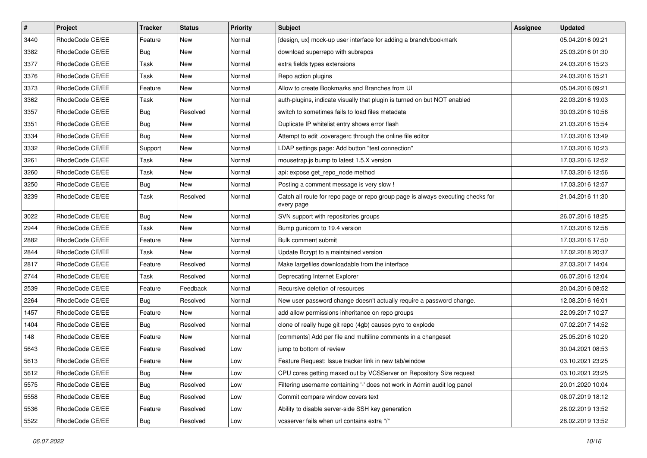| $\pmb{\#}$ | Project         | <b>Tracker</b> | <b>Status</b> | Priority | <b>Subject</b>                                                                                | <b>Assignee</b> | <b>Updated</b>   |
|------------|-----------------|----------------|---------------|----------|-----------------------------------------------------------------------------------------------|-----------------|------------------|
| 3440       | RhodeCode CE/EE | Feature        | New           | Normal   | [design, ux] mock-up user interface for adding a branch/bookmark                              |                 | 05.04.2016 09:21 |
| 3382       | RhodeCode CE/EE | Bug            | <b>New</b>    | Normal   | download superrepo with subrepos                                                              |                 | 25.03.2016 01:30 |
| 3377       | RhodeCode CE/EE | Task           | New           | Normal   | extra fields types extensions                                                                 |                 | 24.03.2016 15:23 |
| 3376       | RhodeCode CE/EE | Task           | New           | Normal   | Repo action plugins                                                                           |                 | 24.03.2016 15:21 |
| 3373       | RhodeCode CE/EE | Feature        | <b>New</b>    | Normal   | Allow to create Bookmarks and Branches from UI                                                |                 | 05.04.2016 09:21 |
| 3362       | RhodeCode CE/EE | Task           | <b>New</b>    | Normal   | auth-plugins, indicate visually that plugin is turned on but NOT enabled                      |                 | 22.03.2016 19:03 |
| 3357       | RhodeCode CE/EE | Bug            | Resolved      | Normal   | switch to sometimes fails to load files metadata                                              |                 | 30.03.2016 10:56 |
| 3351       | RhodeCode CE/EE | Bug            | New           | Normal   | Duplicate IP whitelist entry shows error flash                                                |                 | 21.03.2016 15:54 |
| 3334       | RhodeCode CE/EE | Bug            | <b>New</b>    | Normal   | Attempt to edit .coveragerc through the online file editor                                    |                 | 17.03.2016 13:49 |
| 3332       | RhodeCode CE/EE | Support        | <b>New</b>    | Normal   | LDAP settings page: Add button "test connection"                                              |                 | 17.03.2016 10:23 |
| 3261       | RhodeCode CE/EE | Task           | New           | Normal   | mousetrap.js bump to latest 1.5.X version                                                     |                 | 17.03.2016 12:52 |
| 3260       | RhodeCode CE/EE | Task           | New           | Normal   | api: expose get repo node method                                                              |                 | 17.03.2016 12:56 |
| 3250       | RhodeCode CE/EE | Bug            | New           | Normal   | Posting a comment message is very slow !                                                      |                 | 17.03.2016 12:57 |
| 3239       | RhodeCode CE/EE | Task           | Resolved      | Normal   | Catch all route for repo page or repo group page is always executing checks for<br>every page |                 | 21.04.2016 11:30 |
| 3022       | RhodeCode CE/EE | <b>Bug</b>     | <b>New</b>    | Normal   | SVN support with repositories groups                                                          |                 | 26.07.2016 18:25 |
| 2944       | RhodeCode CE/EE | Task           | New           | Normal   | Bump gunicorn to 19.4 version                                                                 |                 | 17.03.2016 12:58 |
| 2882       | RhodeCode CE/EE | Feature        | <b>New</b>    | Normal   | <b>Bulk comment submit</b>                                                                    |                 | 17.03.2016 17:50 |
| 2844       | RhodeCode CE/EE | Task           | <b>New</b>    | Normal   | Update Bcrypt to a maintained version                                                         |                 | 17.02.2018 20:37 |
| 2817       | RhodeCode CE/EE | Feature        | Resolved      | Normal   | Make largefiles downloadable from the interface                                               |                 | 27.03.2017 14:04 |
| 2744       | RhodeCode CE/EE | Task           | Resolved      | Normal   | Deprecating Internet Explorer                                                                 |                 | 06.07.2016 12:04 |
| 2539       | RhodeCode CE/EE | Feature        | Feedback      | Normal   | Recursive deletion of resources                                                               |                 | 20.04.2016 08:52 |
| 2264       | RhodeCode CE/EE | Bug            | Resolved      | Normal   | New user password change doesn't actually require a password change.                          |                 | 12.08.2016 16:01 |
| 1457       | RhodeCode CE/EE | Feature        | <b>New</b>    | Normal   | add allow permissions inheritance on repo groups                                              |                 | 22.09.2017 10:27 |
| 1404       | RhodeCode CE/EE | Bug            | Resolved      | Normal   | clone of really huge git repo (4gb) causes pyro to explode                                    |                 | 07.02.2017 14:52 |
| 148        | RhodeCode CE/EE | Feature        | <b>New</b>    | Normal   | [comments] Add per file and multiline comments in a changeset                                 |                 | 25.05.2016 10:20 |
| 5643       | RhodeCode CE/EE | Feature        | Resolved      | Low      | jump to bottom of review                                                                      |                 | 30.04.2021 08:53 |
| 5613       | RhodeCode CE/EE | Feature        | New           | Low      | Feature Request: Issue tracker link in new tab/window                                         |                 | 03.10.2021 23:25 |
| 5612       | RhodeCode CE/EE | <b>Bug</b>     | New           | Low      | CPU cores getting maxed out by VCSServer on Repository Size request                           |                 | 03.10.2021 23:25 |
| 5575       | RhodeCode CE/EE | <b>Bug</b>     | Resolved      | Low      | Filtering username containing '-' does not work in Admin audit log panel                      |                 | 20.01.2020 10:04 |
| 5558       | RhodeCode CE/EE | <b>Bug</b>     | Resolved      | Low      | Commit compare window covers text                                                             |                 | 08.07.2019 18:12 |
| 5536       | RhodeCode CE/EE | Feature        | Resolved      | Low      | Ability to disable server-side SSH key generation                                             |                 | 28.02.2019 13:52 |
| 5522       | RhodeCode CE/EE | <b>Bug</b>     | Resolved      | Low      | vcsserver fails when url contains extra "/"                                                   |                 | 28.02.2019 13:52 |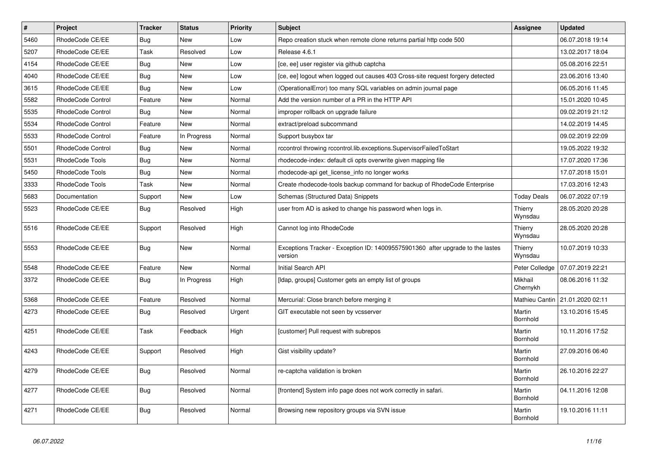| $\pmb{\#}$ | Project           | <b>Tracker</b> | <b>Status</b> | <b>Priority</b> | <b>Subject</b>                                                                            | <b>Assignee</b>           | <b>Updated</b>   |
|------------|-------------------|----------------|---------------|-----------------|-------------------------------------------------------------------------------------------|---------------------------|------------------|
| 5460       | RhodeCode CE/EE   | Bug            | New           | Low             | Repo creation stuck when remote clone returns partial http code 500                       |                           | 06.07.2018 19:14 |
| 5207       | RhodeCode CE/EE   | Task           | Resolved      | Low             | Release 4.6.1                                                                             |                           | 13.02.2017 18:04 |
| 4154       | RhodeCode CE/EE   | Bug            | New           | Low             | [ce, ee] user register via github captcha                                                 |                           | 05.08.2016 22:51 |
| 4040       | RhodeCode CE/EE   | <b>Bug</b>     | <b>New</b>    | Low             | [ce, ee] logout when logged out causes 403 Cross-site request forgery detected            |                           | 23.06.2016 13:40 |
| 3615       | RhodeCode CE/EE   | <b>Bug</b>     | <b>New</b>    | Low             | (OperationalError) too many SQL variables on admin journal page                           |                           | 06.05.2016 11:45 |
| 5582       | RhodeCode Control | Feature        | <b>New</b>    | Normal          | Add the version number of a PR in the HTTP API                                            |                           | 15.01.2020 10:45 |
| 5535       | RhodeCode Control | Bug            | New           | Normal          | improper rollback on upgrade failure                                                      |                           | 09.02.2019 21:12 |
| 5534       | RhodeCode Control | Feature        | New           | Normal          | extract/preload subcommand                                                                |                           | 14.02.2019 14:45 |
| 5533       | RhodeCode Control | Feature        | In Progress   | Normal          | Support busybox tar                                                                       |                           | 09.02.2019 22:09 |
| 5501       | RhodeCode Control | Bug            | New           | Normal          | rccontrol throwing rccontrol.lib.exceptions.SupervisorFailedToStart                       |                           | 19.05.2022 19:32 |
| 5531       | RhodeCode Tools   | Bug            | New           | Normal          | rhodecode-index: default cli opts overwrite given mapping file                            |                           | 17.07.2020 17:36 |
| 5450       | RhodeCode Tools   | Bug            | New           | Normal          | rhodecode-api get_license_info no longer works                                            |                           | 17.07.2018 15:01 |
| 3333       | RhodeCode Tools   | Task           | <b>New</b>    | Normal          | Create rhodecode-tools backup command for backup of RhodeCode Enterprise                  |                           | 17.03.2016 12:43 |
| 5683       | Documentation     | Support        | <b>New</b>    | Low             | Schemas (Structured Data) Snippets                                                        | <b>Today Deals</b>        | 06.07.2022 07:19 |
| 5523       | RhodeCode CE/EE   | <b>Bug</b>     | Resolved      | High            | user from AD is asked to change his password when logs in.                                | Thierry<br>Wynsdau        | 28.05.2020 20:28 |
| 5516       | RhodeCode CE/EE   | Support        | Resolved      | High            | Cannot log into RhodeCode                                                                 | Thierry<br>Wynsdau        | 28.05.2020 20:28 |
| 5553       | RhodeCode CE/EE   | Bug            | <b>New</b>    | Normal          | Exceptions Tracker - Exception ID: 140095575901360 after upgrade to the lastes<br>version | Thierry<br>Wynsdau        | 10.07.2019 10:33 |
| 5548       | RhodeCode CE/EE   | Feature        | <b>New</b>    | Normal          | Initial Search API                                                                        | Peter Colledge            | 07.07.2019 22:21 |
| 3372       | RhodeCode CE/EE   | Bug            | In Progress   | High            | [Idap, groups] Customer gets an empty list of groups                                      | Mikhail<br>Chernykh       | 08.06.2016 11:32 |
| 5368       | RhodeCode CE/EE   | Feature        | Resolved      | Normal          | Mercurial: Close branch before merging it                                                 | Mathieu Cantin            | 21.01.2020 02:11 |
| 4273       | RhodeCode CE/EE   | Bug            | Resolved      | Urgent          | GIT executable not seen by vcsserver                                                      | Martin<br>Bornhold        | 13.10.2016 15:45 |
| 4251       | RhodeCode CE/EE   | Task           | Feedback      | High            | [customer] Pull request with subrepos                                                     | Martin<br>Bornhold        | 10.11.2016 17:52 |
| 4243       | RhodeCode CE/EE   | Support        | Resolved      | High            | Gist visibility update?                                                                   | Martin<br>Bornhold        | 27.09.2016 06:40 |
| 4279       | RhodeCode CE/EE   | <b>Bug</b>     | Resolved      | Normal          | re-captcha validation is broken                                                           | Martin<br><b>Bornhold</b> | 26.10.2016 22:27 |
| 4277       | RhodeCode CE/EE   | Bug            | Resolved      | Normal          | [frontend] System info page does not work correctly in safari.                            | Martin<br>Bornhold        | 04.11.2016 12:08 |
| 4271       | RhodeCode CE/EE   | Bug            | Resolved      | Normal          | Browsing new repository groups via SVN issue                                              | Martin<br>Bornhold        | 19.10.2016 11:11 |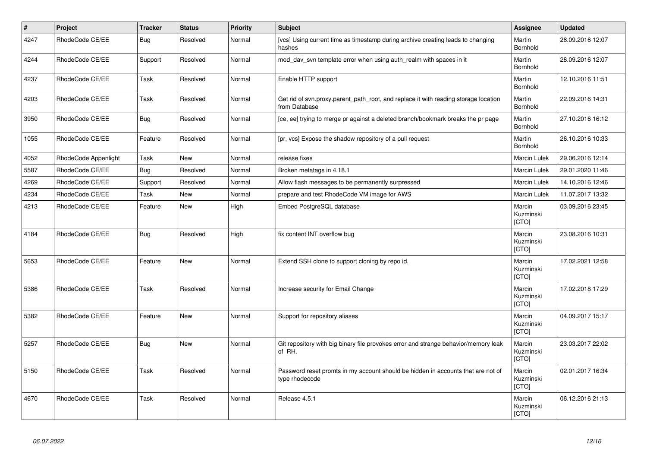| $\vert$ # | Project              | <b>Tracker</b> | <b>Status</b> | <b>Priority</b> | <b>Subject</b>                                                                                       | Assignee                     | <b>Updated</b>   |
|-----------|----------------------|----------------|---------------|-----------------|------------------------------------------------------------------------------------------------------|------------------------------|------------------|
| 4247      | RhodeCode CE/EE      | Bug            | Resolved      | Normal          | [vcs] Using current time as timestamp during archive creating leads to changing<br>hashes            | Martin<br><b>Bornhold</b>    | 28.09.2016 12:07 |
| 4244      | RhodeCode CE/EE      | Support        | Resolved      | Normal          | mod day syn template error when using auth realm with spaces in it                                   | Martin<br>Bornhold           | 28.09.2016 12:07 |
| 4237      | RhodeCode CE/EE      | Task           | Resolved      | Normal          | Enable HTTP support                                                                                  | Martin<br>Bornhold           | 12.10.2016 11:51 |
| 4203      | RhodeCode CE/EE      | Task           | Resolved      | Normal          | Get rid of syn.proxy.parent path root, and replace it with reading storage location<br>from Database | Martin<br>Bornhold           | 22.09.2016 14:31 |
| 3950      | RhodeCode CE/EE      | Bug            | Resolved      | Normal          | [ce, ee] trying to merge pr against a deleted branch/bookmark breaks the pr page                     | Martin<br>Bornhold           | 27.10.2016 16:12 |
| 1055      | RhodeCode CE/EE      | Feature        | Resolved      | Normal          | [pr, vcs] Expose the shadow repository of a pull request                                             | Martin<br>Bornhold           | 26.10.2016 10:33 |
| 4052      | RhodeCode Appenlight | Task           | <b>New</b>    | Normal          | release fixes                                                                                        | <b>Marcin Lulek</b>          | 29.06.2016 12:14 |
| 5587      | RhodeCode CE/EE      | Bug            | Resolved      | Normal          | Broken metatags in 4.18.1                                                                            | Marcin Lulek                 | 29.01.2020 11:46 |
| 4269      | RhodeCode CE/EE      | Support        | Resolved      | Normal          | Allow flash messages to be permanently surpressed                                                    | Marcin Lulek                 | 14.10.2016 12:46 |
| 4234      | RhodeCode CE/EE      | Task           | <b>New</b>    | Normal          | prepare and test RhodeCode VM image for AWS                                                          | <b>Marcin Lulek</b>          | 11.07.2017 13:32 |
| 4213      | RhodeCode CE/EE      | Feature        | <b>New</b>    | High            | Embed PostgreSQL database                                                                            | Marcin<br>Kuzminski<br>[CTO] | 03.09.2016 23:45 |
| 4184      | RhodeCode CE/EE      | Bug            | Resolved      | High            | fix content INT overflow bug                                                                         | Marcin<br>Kuzminski<br>[CTO] | 23.08.2016 10:31 |
| 5653      | RhodeCode CE/EE      | Feature        | <b>New</b>    | Normal          | Extend SSH clone to support cloning by repo id.                                                      | Marcin<br>Kuzminski<br>[CTO] | 17.02.2021 12:58 |
| 5386      | RhodeCode CE/EE      | Task           | Resolved      | Normal          | Increase security for Email Change                                                                   | Marcin<br>Kuzminski<br>[CTO] | 17.02.2018 17:29 |
| 5382      | RhodeCode CE/EE      | Feature        | <b>New</b>    | Normal          | Support for repository aliases                                                                       | Marcin<br>Kuzminski<br>[CTO] | 04.09.2017 15:17 |
| 5257      | RhodeCode CE/EE      | Bug            | <b>New</b>    | Normal          | Git repository with big binary file provokes error and strange behavior/memory leak<br>of RH.        | Marcin<br>Kuzminski<br>[CTO] | 23.03.2017 22:02 |
| 5150      | RhodeCode CE/EE      | Task           | Resolved      | Normal          | Password reset promts in my account should be hidden in accounts that are not of<br>type rhodecode   | Marcin<br>Kuzminski<br>[CTO] | 02.01.2017 16:34 |
| 4670      | RhodeCode CE/EE      | Task           | Resolved      | Normal          | Release 4.5.1                                                                                        | Marcin<br>Kuzminski<br>[CTO] | 06.12.2016 21:13 |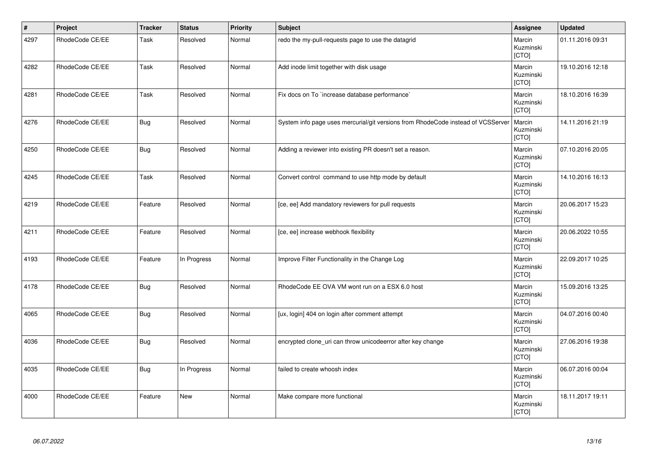| $\vert$ # | Project         | <b>Tracker</b> | <b>Status</b> | <b>Priority</b> | Subject                                                                          | Assignee                            | <b>Updated</b>   |
|-----------|-----------------|----------------|---------------|-----------------|----------------------------------------------------------------------------------|-------------------------------------|------------------|
| 4297      | RhodeCode CE/EE | Task           | Resolved      | Normal          | redo the my-pull-requests page to use the datagrid                               | Marcin<br>Kuzminski<br>[CTO]        | 01.11.2016 09:31 |
| 4282      | RhodeCode CE/EE | Task           | Resolved      | Normal          | Add inode limit together with disk usage                                         | Marcin<br>Kuzminski<br>[CTO]        | 19.10.2016 12:18 |
| 4281      | RhodeCode CE/EE | Task           | Resolved      | Normal          | Fix docs on To `increase database performance`                                   | Marcin<br>Kuzminski<br><b>[CTO]</b> | 18.10.2016 16:39 |
| 4276      | RhodeCode CE/EE | <b>Bug</b>     | Resolved      | Normal          | System info page uses mercurial/git versions from RhodeCode instead of VCSServer | Marcin<br>Kuzminski<br>[CTO]        | 14.11.2016 21:19 |
| 4250      | RhodeCode CE/EE | <b>Bug</b>     | Resolved      | Normal          | Adding a reviewer into existing PR doesn't set a reason.                         | Marcin<br>Kuzminski<br>[CTO]        | 07.10.2016 20:05 |
| 4245      | RhodeCode CE/EE | Task           | Resolved      | Normal          | Convert control command to use http mode by default                              | Marcin<br>Kuzminski<br>[CTO]        | 14.10.2016 16:13 |
| 4219      | RhodeCode CE/EE | Feature        | Resolved      | Normal          | [ce, ee] Add mandatory reviewers for pull requests                               | Marcin<br>Kuzminski<br>[CTO]        | 20.06.2017 15:23 |
| 4211      | RhodeCode CE/EE | Feature        | Resolved      | Normal          | [ce, ee] increase webhook flexibility                                            | Marcin<br>Kuzminski<br>[CTO]        | 20.06.2022 10:55 |
| 4193      | RhodeCode CE/EE | Feature        | In Progress   | Normal          | Improve Filter Functionality in the Change Log                                   | Marcin<br>Kuzminski<br>[CTO]        | 22.09.2017 10:25 |
| 4178      | RhodeCode CE/EE | Bug            | Resolved      | Normal          | RhodeCode EE OVA VM wont run on a ESX 6.0 host                                   | Marcin<br>Kuzminski<br>[CTO]        | 15.09.2016 13:25 |
| 4065      | RhodeCode CE/EE | <b>Bug</b>     | Resolved      | Normal          | [ux, login] 404 on login after comment attempt                                   | Marcin<br>Kuzminski<br>[CTO]        | 04.07.2016 00:40 |
| 4036      | RhodeCode CE/EE | <b>Bug</b>     | Resolved      | Normal          | encrypted clone_uri can throw unicodeerror after key change                      | Marcin<br>Kuzminski<br>[CTO]        | 27.06.2016 19:38 |
| 4035      | RhodeCode CE/EE | <b>Bug</b>     | In Progress   | Normal          | failed to create whoosh index                                                    | Marcin<br>Kuzminski<br>[CTO]        | 06.07.2016 00:04 |
| 4000      | RhodeCode CE/EE | Feature        | <b>New</b>    | Normal          | Make compare more functional                                                     | Marcin<br>Kuzminski<br>[CTO]        | 18.11.2017 19:11 |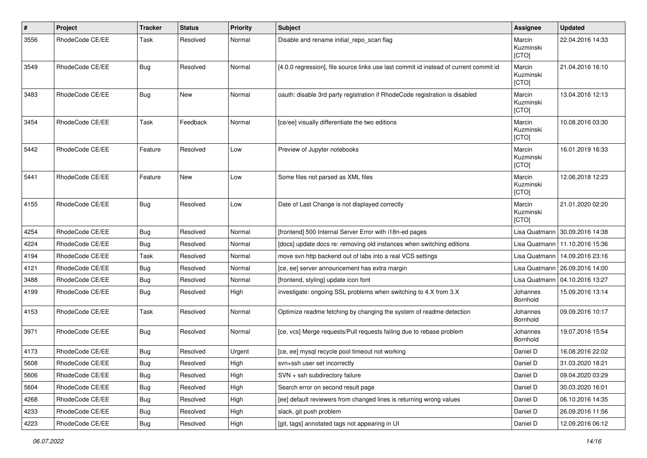| #    | Project         | <b>Tracker</b> | <b>Status</b> | <b>Priority</b> | <b>Subject</b>                                                                        | <b>Assignee</b>              | <b>Updated</b>   |
|------|-----------------|----------------|---------------|-----------------|---------------------------------------------------------------------------------------|------------------------------|------------------|
| 3556 | RhodeCode CE/EE | Task           | Resolved      | Normal          | Disable and rename initial_repo_scan flag                                             | Marcin<br>Kuzminski<br>[CTO] | 22.04.2016 14:33 |
| 3549 | RhodeCode CE/EE | Bug            | Resolved      | Normal          | [4.0.0 regression], file source links use last commit id instead of current commit id | Marcin<br>Kuzminski<br>[CTO] | 21.04.2016 16:10 |
| 3483 | RhodeCode CE/EE | Bug            | New           | Normal          | oauth: disable 3rd party registration if RhodeCode registration is disabled           | Marcin<br>Kuzminski<br>[CTO] | 13.04.2016 12:13 |
| 3454 | RhodeCode CE/EE | Task           | Feedback      | Normal          | [ce/ee] visually differentiate the two editions                                       | Marcin<br>Kuzminski<br>[CTO] | 10.08.2016 03:30 |
| 5442 | RhodeCode CE/EE | Feature        | Resolved      | Low             | Preview of Jupyter notebooks                                                          | Marcin<br>Kuzminski<br>[CTO] | 16.01.2019 16:33 |
| 5441 | RhodeCode CE/EE | Feature        | <b>New</b>    | Low             | Some files not parsed as XML files                                                    | Marcin<br>Kuzminski<br>[CTO] | 12.06.2018 12:23 |
| 4155 | RhodeCode CE/EE | Bug            | Resolved      | Low             | Date of Last Change is not displayed correctly                                        | Marcin<br>Kuzminski<br>[CTO] | 21.01.2020 02:20 |
| 4254 | RhodeCode CE/EE | Bug            | Resolved      | Normal          | [frontend] 500 Internal Server Error with i18n-ed pages                               | Lisa Quatmann                | 30.09.2016 14:38 |
| 4224 | RhodeCode CE/EE | Bug            | Resolved      | Normal          | [docs] update docs re: removing old instances when switching editions                 | Lisa Quatmann                | 11.10.2016 15:36 |
| 4194 | RhodeCode CE/EE | Task           | Resolved      | Normal          | move svn http backend out of labs into a real VCS settings                            | Lisa Quatmann                | 14.09.2016 23:16 |
| 4121 | RhodeCode CE/EE | Bug            | Resolved      | Normal          | [ce, ee] server announcement has extra margin                                         | Lisa Quatmann                | 26.09.2016 14:00 |
| 3488 | RhodeCode CE/EE | Bug            | Resolved      | Normal          | [frontend, styling] update icon font                                                  | Lisa Quatmann                | 04.10.2016 13:27 |
| 4199 | RhodeCode CE/EE | Bug            | Resolved      | High            | investigate: ongoing SSL problems when switching to 4.X from 3.X                      | Johannes<br>Bornhold         | 15.09.2016 13:14 |
| 4153 | RhodeCode CE/EE | Task           | Resolved      | Normal          | Optimize readme fetching by changing the system of readme detection                   | Johannes<br>Bornhold         | 09.09.2016 10:17 |
| 3971 | RhodeCode CE/EE | Bug            | Resolved      | Normal          | [ce, vcs] Merge requests/Pull requests failing due to rebase problem                  | Johannes<br>Bornhold         | 19.07.2016 15:54 |
| 4173 | RhodeCode CE/EE | Bug            | Resolved      | Urgent          | [ce, ee] mysql recycle pool timeout not working                                       | Daniel D                     | 16.08.2016 22:02 |
| 5608 | RhodeCode CE/EE | Bug            | Resolved      | High            | svn+ssh user set incorrectly                                                          | Daniel D                     | 31.03.2020 18:21 |
| 5606 | RhodeCode CE/EE | Bug            | Resolved      | High            | SVN + ssh subdirectory failure                                                        | Daniel D                     | 09.04.2020 03:29 |
| 5604 | RhodeCode CE/EE | <b>Bug</b>     | Resolved      | High            | Search error on second result page                                                    | Daniel D                     | 30.03.2020 16:01 |
| 4268 | RhodeCode CE/EE | <b>Bug</b>     | Resolved      | High            | [ee] default reviewers from changed lines is returning wrong values                   | Daniel D                     | 06.10.2016 14:35 |
| 4233 | RhodeCode CE/EE | Bug            | Resolved      | High            | slack, git push problem                                                               | Daniel D                     | 26.09.2016 11:56 |
| 4223 | RhodeCode CE/EE | Bug            | Resolved      | High            | [git, tags] annotated tags not appearing in UI                                        | Daniel D                     | 12.09.2016 06:12 |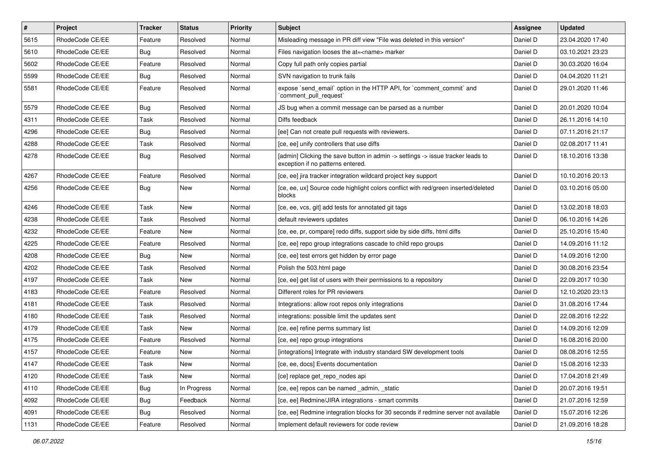| $\vert$ # | Project         | <b>Tracker</b> | <b>Status</b> | <b>Priority</b> | <b>Subject</b>                                                                                                       | Assignee | <b>Updated</b>   |
|-----------|-----------------|----------------|---------------|-----------------|----------------------------------------------------------------------------------------------------------------------|----------|------------------|
| 5615      | RhodeCode CE/EE | Feature        | Resolved      | Normal          | Misleading message in PR diff view "File was deleted in this version"                                                | Daniel D | 23.04.2020 17:40 |
| 5610      | RhodeCode CE/EE | Bug            | Resolved      | Normal          | Files navigation looses the at= <name> marker</name>                                                                 | Daniel D | 03.10.2021 23:23 |
| 5602      | RhodeCode CE/EE | Feature        | Resolved      | Normal          | Copy full path only copies partial                                                                                   | Daniel D | 30.03.2020 16:04 |
| 5599      | RhodeCode CE/EE | Bug            | Resolved      | Normal          | SVN navigation to trunk fails                                                                                        | Daniel D | 04.04.2020 11:21 |
| 5581      | RhodeCode CE/EE | Feature        | Resolved      | Normal          | expose `send_email` option in the HTTP API, for `comment_commit` and<br>`comment_pull_request`                       | Daniel D | 29.01.2020 11:46 |
| 5579      | RhodeCode CE/EE | Bug            | Resolved      | Normal          | JS bug when a commit message can be parsed as a number                                                               | Daniel D | 20.01.2020 10:04 |
| 4311      | RhodeCode CE/EE | Task           | Resolved      | Normal          | Diffs feedback                                                                                                       | Daniel D | 26.11.2016 14:10 |
| 4296      | RhodeCode CE/EE | Bug            | Resolved      | Normal          | [ee] Can not create pull requests with reviewers.                                                                    | Daniel D | 07.11.2016 21:17 |
| 4288      | RhodeCode CE/EE | Task           | Resolved      | Normal          | [ce, ee] unify controllers that use diffs                                                                            | Daniel D | 02.08.2017 11:41 |
| 4278      | RhodeCode CE/EE | <b>Bug</b>     | Resolved      | Normal          | [admin] Clicking the save button in admin -> settings -> issue tracker leads to<br>exception if no patterns entered. | Daniel D | 18.10.2016 13:38 |
| 4267      | RhodeCode CE/EE | Feature        | Resolved      | Normal          | [ce, ee] jira tracker integration wildcard project key support                                                       | Daniel D | 10.10.2016 20:13 |
| 4256      | RhodeCode CE/EE | Bug            | New           | Normal          | [ce, ee, ux] Source code highlight colors conflict with red/green inserted/deleted<br>blocks                         | Daniel D | 03.10.2016 05:00 |
| 4246      | RhodeCode CE/EE | Task           | <b>New</b>    | Normal          | [ce, ee, vcs, git] add tests for annotated git tags                                                                  | Daniel D | 13.02.2018 18:03 |
| 4238      | RhodeCode CE/EE | Task           | Resolved      | Normal          | default reviewers updates                                                                                            | Daniel D | 06.10.2016 14:26 |
| 4232      | RhodeCode CE/EE | Feature        | <b>New</b>    | Normal          | [ce, ee, pr, compare] redo diffs, support side by side diffs, html diffs                                             | Daniel D | 25.10.2016 15:40 |
| 4225      | RhodeCode CE/EE | Feature        | Resolved      | Normal          | [ce, ee] repo group integrations cascade to child repo groups                                                        | Daniel D | 14.09.2016 11:12 |
| 4208      | RhodeCode CE/EE | Bug            | New           | Normal          | [ce, ee] test errors get hidden by error page                                                                        | Daniel D | 14.09.2016 12:00 |
| 4202      | RhodeCode CE/EE | Task           | Resolved      | Normal          | Polish the 503.html page                                                                                             | Daniel D | 30.08.2016 23:54 |
| 4197      | RhodeCode CE/EE | Task           | New           | Normal          | [ce, ee] get list of users with their permissions to a repository                                                    | Daniel D | 22.09.2017 10:30 |
| 4183      | RhodeCode CE/EE | Feature        | Resolved      | Normal          | Different roles for PR reviewers                                                                                     | Daniel D | 12.10.2020 23:13 |
| 4181      | RhodeCode CE/EE | Task           | Resolved      | Normal          | Integrations: allow root repos only integrations                                                                     | Daniel D | 31.08.2016 17:44 |
| 4180      | RhodeCode CE/EE | Task           | Resolved      | Normal          | integrations: possible limit the updates sent                                                                        | Daniel D | 22.08.2016 12:22 |
| 4179      | RhodeCode CE/EE | Task           | <b>New</b>    | Normal          | [ce, ee] refine perms summary list                                                                                   | Daniel D | 14.09.2016 12:09 |
| 4175      | RhodeCode CE/EE | Feature        | Resolved      | Normal          | [ce, ee] repo group integrations                                                                                     | Daniel D | 16.08.2016 20:00 |
| 4157      | RhodeCode CE/EE | Feature        | New           | Normal          | [integrations] Integrate with industry standard SW development tools                                                 | Daniel D | 08.08.2016 12:55 |
| 4147      | RhodeCode CE/EE | Task           | New           | Normal          | [ce, ee, docs] Events documentation                                                                                  | Daniel D | 15.08.2016 12:33 |
| 4120      | RhodeCode CE/EE | Task           | New           | Normal          | [ce] replace get_repo_nodes api                                                                                      | Daniel D | 17.04.2018 21:49 |
| 4110      | RhodeCode CE/EE | Bug            | In Progress   | Normal          | [ce, ee] repos can be named _admin, _static                                                                          | Daniel D | 20.07.2016 19:51 |
| 4092      | RhodeCode CE/EE | Bug            | Feedback      | Normal          | [ce, ee] Redmine/JIRA integrations - smart commits                                                                   | Daniel D | 21.07.2016 12:59 |
| 4091      | RhodeCode CE/EE | Bug            | Resolved      | Normal          | [ce, ee] Redmine integration blocks for 30 seconds if redmine server not available                                   | Daniel D | 15.07.2016 12:26 |
| 1131      | RhodeCode CE/EE | Feature        | Resolved      | Normal          | Implement default reviewers for code review                                                                          | Daniel D | 21.09.2016 18:28 |